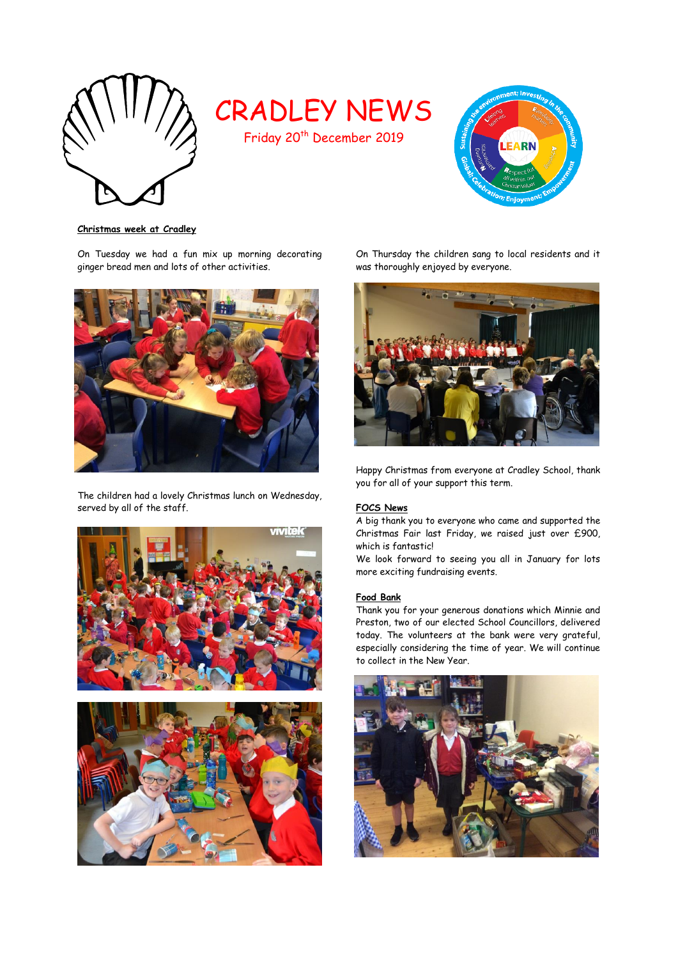

# CRADLEY NEWS

Friday 20<sup>th</sup> December 2019



**Christmas week at Cradley**

On Tuesday we had a fun mix up morning decorating ginger bread men and lots of other activities.



The children had a lovely Christmas lunch on Wednesday, served by all of the staff.





On Thursday the children sang to local residents and it was thoroughly enjoyed by everyone.



Happy Christmas from everyone at Cradley School, thank you for all of your support this term.

## **FOCS News**

A big thank you to everyone who came and supported the Christmas Fair last Friday, we raised just over £900, which is fantastic!

We look forward to seeing you all in January for lots more exciting fundraising events.

### **Food Bank**

Thank you for your generous donations which Minnie and Preston, two of our elected School Councillors, delivered today. The volunteers at the bank were very grateful, especially considering the time of year. We will continue to collect in the New Year.

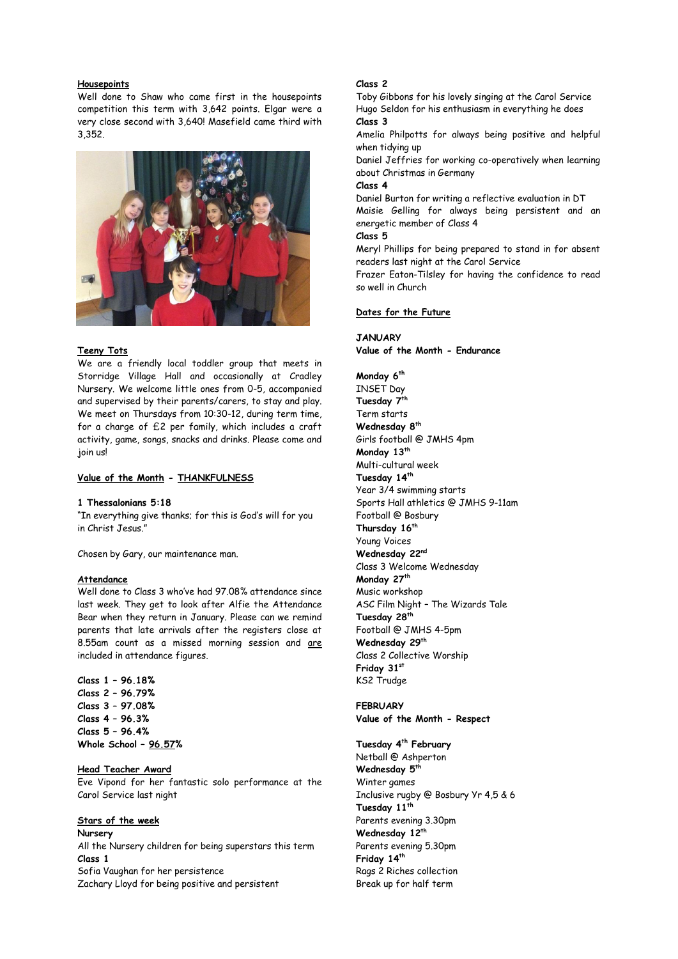#### **Housepoints**

Well done to Shaw who came first in the housepoints competition this term with 3,642 points. Elgar were a very close second with 3,640! Masefield came third with 3,352.



#### **Teeny Tots**

We are a friendly local toddler group that meets in Storridge Village Hall and occasionally at Cradley Nursery. We welcome little ones from 0-5, accompanied and supervised by their parents/carers, to stay and play. We meet on Thursdays from 10:30-12, during term time, for a charge of £2 per family, which includes a craft activity, game, songs, snacks and drinks. Please come and join us!

#### **Value of the Month - THANKFULNESS**

## **1 Thessalonians 5:18**

"In everything give thanks; for this is God's will for you in Christ Jesus."

Chosen by Gary, our maintenance man.

#### **Attendance**

Well done to Class 3 who've had 97.08% attendance since last week. They get to look after Alfie the Attendance Bear when they return in January. Please can we remind parents that late arrivals after the registers close at 8.55am count as a missed morning session and are included in attendance figures.

**Class 1 – 96.18% Class 2 – 96.79% Class 3 – 97.08% Class 4 – 96.3% Class 5 – 96.4% Whole School – 96.57%**

#### **Head Teacher Award**

Eve Vipond for her fantastic solo performance at the Carol Service last night

#### **Stars of the week**

**Nursery** All the Nursery children for being superstars this term **Class 1** Sofia Vaughan for her persistence Zachary Lloyd for being positive and persistent

#### **Class 2**

Toby Gibbons for his lovely singing at the Carol Service Hugo Seldon for his enthusiasm in everything he does **Class 3** 

Amelia Philpotts for always being positive and helpful when tidying up

Daniel Jeffries for working co-operatively when learning about Christmas in Germany

## **Class 4**

Daniel Burton for writing a reflective evaluation in DT Maisie Gelling for always being persistent and an energetic member of Class 4

**Class 5**

Meryl Phillips for being prepared to stand in for absent readers last night at the Carol Service

Frazer Eaton-Tilsley for having the confidence to read so well in Church

#### **Dates for the Future**

#### **JANUARY**

**Value of the Month - Endurance**

**Monday 6th** INSET Day **Tuesday 7th** Term starts **Wednesday 8 th** Girls football @ JMHS 4pm **Monday 13th** Multi-cultural week **Tuesday 14th** Year 3/4 swimming starts Sports Hall athletics @ JMHS 9-11am Football @ Bosbury **Thursday 16th** Young Voices **Wednesday 22nd** Class 3 Welcome Wednesday **Monday 27 th** Music workshop ASC Film Night – The Wizards Tale **Tuesday 28th** Football @ JMHS 4-5pm **Wednesday 29th** Class 2 Collective Worship **Friday 31st** KS2 Trudge

**FEBRUARY Value of the Month - Respect**

**Tuesday 4th February** Netball @ Ashperton **Wednesday 5 th** Winter games Inclusive rugby @ Bosbury Yr 4,5 & 6 **Tuesday 11th** Parents evening 3.30pm **Wednesday 12th** Parents evening 5.30pm **Friday 14 th** Rags 2 Riches collection Break up for half term